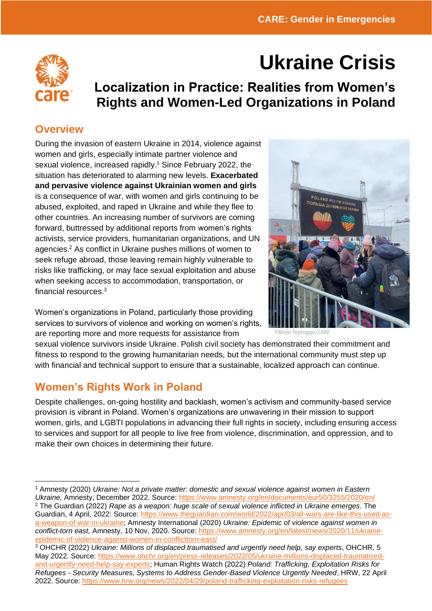# **Ukraine Crisis**

## **Localization in Practice: Realities from Women's Rights and Women-Led Organizations in Poland**

#### **Overview**

During the invasion of eastern Ukraine in 2014, violence against women and girls, especially intimate partner violence and sexual violence, increased rapidly.<sup>1</sup> Since February 2022, the situation has deteriorated to alarming new levels. **Exacerbated and pervasive violence against Ukrainian women and girls** is a consequence of war, with women and girls continuing to be abused, exploited, and raped in Ukraine and while they flee to other countries. An increasing number of survivors are coming forward, buttressed by additional reports from women's rights activists, service providers, humanitarian organizations, and UN agencies.<sup>2</sup> As conflict in Ukraine pushes millions of women to seek refuge abroad, those leaving remain highly vulnerable to risks like trafficking, or may face sexual exploitation and abuse when seeking access to accommodation, transportation, or financial resources.<sup>3</sup>

Women's organizations in Poland, particularly those providing services to survivors of violence and working on women's rights, are reporting more and more requests for assistance from



*©Ninja Taprogge/CARE*

sexual violence survivors inside Ukraine. Polish civil society has demonstrated their commitment and fitness to respond to the growing humanitarian needs, but the international community must step up with financial and technical support to ensure that a sustainable, localized approach can continue.

### **Women's Rights Work in Poland**

Despite challenges, on-going hostility and backlash, women's activism and community-based service provision is vibrant in Poland. Women's organizations are unwavering in their mission to support women, girls, and LGBTI populations in advancing their full rights in society, including ensuring access to services and support for all people to live free from violence, discrimination, and oppression, and to make their own choices in determining their future.

<sup>1</sup> Amnesty (2020) *Ukraine: Not a private matter: domestic and sexual violence against women in Eastern Ukraine,* Amnesty, December 2022. Source:<https://www.amnesty.org/en/documents/eur50/3255/2020/en/> <sup>2</sup> The Guardian (2022) *Rape as a weapon: huge scale of sexual violence inflicted in Ukraine emerges*. The Guardian, 4 April, 2022: Source: [https://www.theguardian.com/world/2022/apr/03/all-wars-are-like-this-used-as](https://www.theguardian.com/world/2022/apr/03/all-wars-are-like-this-used-as-a-weapon-of-war-in-ukraine)[a-weapon-of-war-in-ukraine;](https://www.theguardian.com/world/2022/apr/03/all-wars-are-like-this-used-as-a-weapon-of-war-in-ukraine) Amnesty International (2020) *Ukraine: Epidemic of violence against women in conflict-torn east,* Amnesty, 10 Nov, 2020. Source: [https://www.amnesty.org/en/latest/news/2020/11/ukraine](https://www.amnesty.org/en/latest/news/2020/11/ukraine-epidemic-of-violence-against-women-in-conflicttorn-east/)[epidemic-of-violence-against-women-in-conflicttorn-east/](https://www.amnesty.org/en/latest/news/2020/11/ukraine-epidemic-of-violence-against-women-in-conflicttorn-east/)

<sup>3</sup> OHCHR (2022) *Ukraine: Millions of displaced traumatised and urgently need help, say experts*, OHCHR, 5 May 2022. Source: [https://www.ohchr.org/en/press-releases/2022/05/ukraine-millions-displaced-traumatised](https://www.ohchr.org/en/press-releases/2022/05/ukraine-millions-displaced-traumatised-and-urgently-need-help-say-experts)[and-urgently-need-help-say-experts;](https://www.ohchr.org/en/press-releases/2022/05/ukraine-millions-displaced-traumatised-and-urgently-need-help-say-experts) Human Rights Watch (2022) *Poland: Trafficking, Exploitation Risks for Refugees - Security Measures, Systems to Address Gender-Based Violence Urgently Needed*, HRW, 22 April 2022. Source:<https://www.hrw.org/news/2022/04/29/poland-trafficking-exploitation-risks-refugees>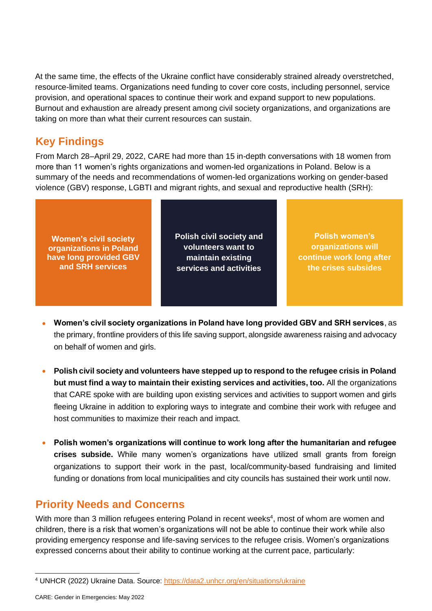At the same time, the effects of the Ukraine conflict have considerably strained already overstretched, resource-limited teams. Organizations need funding to cover core costs, including personnel, service provision, and operational spaces to continue their work and expand support to new populations. Burnout and exhaustion are already present among civil society organizations, and organizations are taking on more than what their current resources can sustain.

#### **Key Findings**

From March 28–April 29, 2022, CARE had more than 15 in-depth conversations with 18 women from more than 11 women's rights organizations and women-led organizations in Poland. Below is a summary of the needs and recommendations of women-led organizations working on gender-based violence (GBV) response, LGBTI and migrant rights, and sexual and reproductive health (SRH):

**Women's civil society organizations in Poland have long provided GBV and SRH services**

**Polish civil society and volunteers want to maintain existing services and activities** 

**Polish women's organizations will continue work long after the crises subsides**

- **Women's civil society organizations in Poland have long provided GBV and SRH services**, as the primary, frontline providers of this life saving support, alongside awareness raising and advocacy on behalf of women and girls.
- **Polish civil society and volunteers have stepped up to respond to the refugee crisis in Poland but must find a way to maintain their existing services and activities, too.** All the organizations that CARE spoke with are building upon existing services and activities to support women and girls fleeing Ukraine in addition to exploring ways to integrate and combine their work with refugee and host communities to maximize their reach and impact.
- **Polish women's organizations will continue to work long after the humanitarian and refugee crises subside.** While many women's organizations have utilized small grants from foreign organizations to support their work in the past, local/community-based fundraising and limited funding or donations from local municipalities and city councils has sustained their work until now.

#### **Priority Needs and Concerns**

With more than 3 million refugees entering Poland in recent weeks<sup>4</sup>, most of whom are women and children, there is a risk that women's organizations will not be able to continue their work while also providing emergency response and life-saving services to the refugee crisis. Women's organizations expressed concerns about their ability to continue working at the current pace, particularly:

<sup>4</sup> UNHCR (2022) Ukraine Data. Source:<https://data2.unhcr.org/en/situations/ukraine>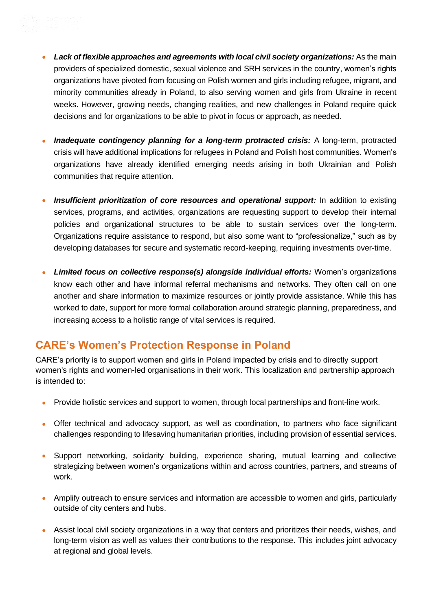- *Lack of flexible approaches and agreements with local civil society organizations:* As the main providers of specialized domestic, sexual violence and SRH services in the country, women's rights organizations have pivoted from focusing on Polish women and girls including refugee, migrant, and minority communities already in Poland, to also serving women and girls from Ukraine in recent weeks. However, growing needs, changing realities, and new challenges in Poland require quick decisions and for organizations to be able to pivot in focus or approach, as needed.
- *Inadequate contingency planning for a long-term protracted crisis:* A long-term, protracted crisis will have additional implications for refugees in Poland and Polish host communities. Women's organizations have already identified emerging needs arising in both Ukrainian and Polish communities that require attention.
- **Insufficient prioritization of core resources and operational support:** In addition to existing services, programs, and activities, organizations are requesting support to develop their internal policies and organizational structures to be able to sustain services over the long-term. Organizations require assistance to respond, but also some want to "professionalize," such as by developing databases for secure and systematic record-keeping, requiring investments over-time.
- *Limited focus on collective response(s) alongside individual efforts:* Women's organizations know each other and have informal referral mechanisms and networks. They often call on one another and share information to maximize resources or jointly provide assistance. While this has worked to date, support for more formal collaboration around strategic planning, preparedness, and increasing access to a holistic range of vital services is required.

#### **CARE's Women's Protection Response in Poland**

CARE's priority is to support women and girls in Poland impacted by crisis and to directly support women's rights and women-led organisations in their work. This localization and partnership approach is intended to:

- Provide holistic services and support to women, through local partnerships and front-line work.
- Offer technical and advocacy support, as well as coordination, to partners who face significant challenges responding to lifesaving humanitarian priorities, including provision of essential services.
- Support networking, solidarity building, experience sharing, mutual learning and collective strategizing between women's organizations within and across countries, partners, and streams of work.
- Amplify outreach to ensure services and information are accessible to women and girls, particularly outside of city centers and hubs.
- Assist local civil society organizations in a way that centers and prioritizes their needs, wishes, and long-term vision as well as values their contributions to the response. This includes joint advocacy at regional and global levels.